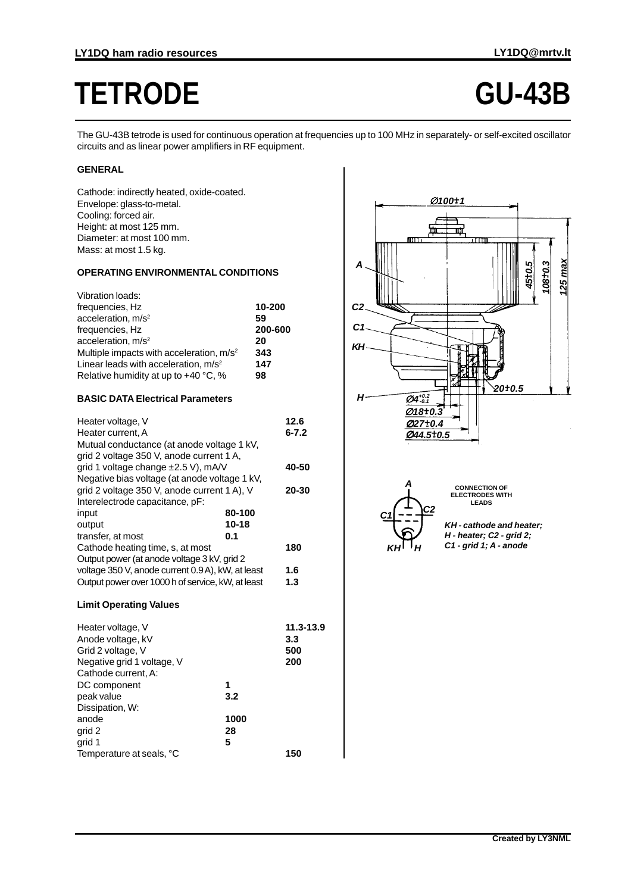# **TETRODE GU-43B**

The GU-43B tetrode is used for continuous operation at frequencies up to 100 MHz in separately- or self-excited oscillator circuits and as linear power amplifiers in RF equipment.

# **GENERAL**

Cathode: indirectly heated, oxide-coated. Envelope: glass-to-metal. Cooling: forced air. Height: at most 125 mm. Diameter: at most 100 mm. Mass: at most 1.5 kg.

## **OPERATING ENVIRONMENTAL CONDITIONS**

| Vibration loads:                                     |         |
|------------------------------------------------------|---------|
| frequencies, Hz                                      | 10-200  |
| acceleration, $m/s2$                                 | 59      |
| frequencies, Hz                                      | 200-600 |
| acceleration, $m/s2$                                 | 20      |
| Multiple impacts with acceleration, m/s <sup>2</sup> | 343     |
| Linear leads with acceleration, $m/s^2$              | 147     |
| Relative humidity at up to +40 °C, %                 | 98      |

#### **BASIC DATA Electrical Parameters**

| Heater voltage, V                                 |        | 12.6      |
|---------------------------------------------------|--------|-----------|
| Heater current. A                                 |        | $6 - 7.2$ |
| Mutual conductance (at anode voltage 1 kV,        |        |           |
| grid 2 voltage 350 V, anode current 1 A,          |        |           |
| grid 1 voltage change ±2.5 V), mA/V               |        | 40-50     |
| Negative bias voltage (at anode voltage 1 kV,     |        |           |
| grid 2 voltage 350 V, anode current 1 A), V       |        | 20-30     |
| Interelectrode capacitance, pF:                   |        |           |
| input                                             | 80-100 |           |
| output                                            | 10-18  |           |
| transfer, at most                                 | 0.1    |           |
| Cathode heating time, s, at most                  |        | 180       |
| Output power (at anode voltage 3 kV, grid 2       |        |           |
| voltage 350 V, anode current 0.9 A), kW, at least |        | 1.6       |
| Output power over 1000 h of service, kW, at least |        | 1.3       |
|                                                   |        |           |

### **Limit Operating Values**

| Heater voltage, V          |      | 11.3-13.9 |
|----------------------------|------|-----------|
| Anode voltage, kV          |      | 3.3       |
| Grid 2 voltage, V          |      | 500       |
| Negative grid 1 voltage, V |      | 200       |
| Cathode current, A:        |      |           |
| DC component               | 1    |           |
| peak value                 | 3.2  |           |
| Dissipation, W:            |      |           |
| anode                      | 1000 |           |
| grid 2                     | 28   |           |
| grid 1                     | 5    |           |
| Temperature at seals, °C   |      | 150       |





**CONNECTION OF ELECTRODES WITH LEADS**

**KH - cathode and heater; H - heater; C2 - grid 2; C1 - grid 1; A - anode**